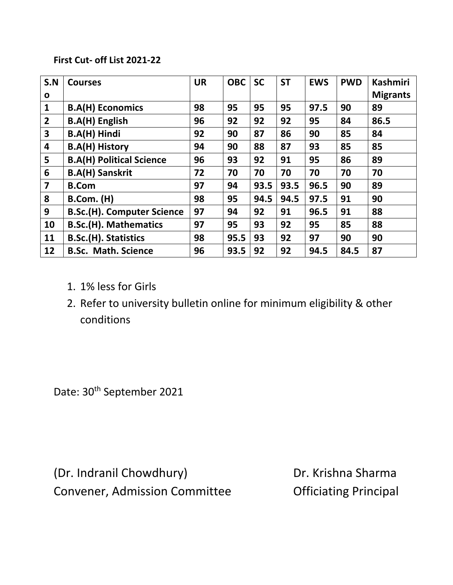## **First Cut- off List 2021-22**

| S.N<br>O                | <b>Courses</b>                    | <b>UR</b> | <b>OBC</b> | <b>SC</b> | <b>ST</b> | <b>EWS</b> | <b>PWD</b> | <b>Kashmiri</b><br><b>Migrants</b> |
|-------------------------|-----------------------------------|-----------|------------|-----------|-----------|------------|------------|------------------------------------|
| $\mathbf{1}$            | <b>B.A(H) Economics</b>           | 98        | 95         | 95        | 95        | 97.5       | 90         | 89                                 |
| $\overline{2}$          | <b>B.A(H)</b> English             | 96        | 92         | 92        | 92        | 95         | 84         | 86.5                               |
| $\overline{\mathbf{3}}$ | <b>B.A(H) Hindi</b>               | 92        | 90         | 87        | 86        | 90         | 85         | 84                                 |
| 4                       | <b>B.A(H) History</b>             | 94        | 90         | 88        | 87        | 93         | 85         | 85                                 |
| 5                       | <b>B.A(H) Political Science</b>   | 96        | 93         | 92        | 91        | 95         | 86         | 89                                 |
| 6                       | <b>B.A(H) Sanskrit</b>            | 72        | 70         | 70        | 70        | 70         | 70         | 70                                 |
| $\overline{\mathbf{z}}$ | <b>B.Com</b>                      | 97        | 94         | 93.5      | 93.5      | 96.5       | 90         | 89                                 |
| 8                       | <b>B.Com.</b> (H)                 | 98        | 95         | 94.5      | 94.5      | 97.5       | 91         | 90                                 |
| 9                       | <b>B.Sc.(H). Computer Science</b> | 97        | 94         | 92        | 91        | 96.5       | 91         | 88                                 |
| 10                      | <b>B.Sc.(H). Mathematics</b>      | 97        | 95         | 93        | 92        | 95         | 85         | 88                                 |
| 11                      | <b>B.Sc.(H). Statistics</b>       | 98        | 95.5       | 93        | 92        | 97         | 90         | 90                                 |
| 12                      | <b>B.Sc. Math. Science</b>        | 96        | 93.5       | 92        | 92        | 94.5       | 84.5       | 87                                 |

- 1. 1% less for Girls
- 2. Refer to university bulletin online for minimum eligibility & other conditions

Date: 30<sup>th</sup> September 2021

(Dr. Indranil Chowdhury) Dr. Krishna Sharma Convener, Admission Committee **Conventugal** Convener, Admission Committee